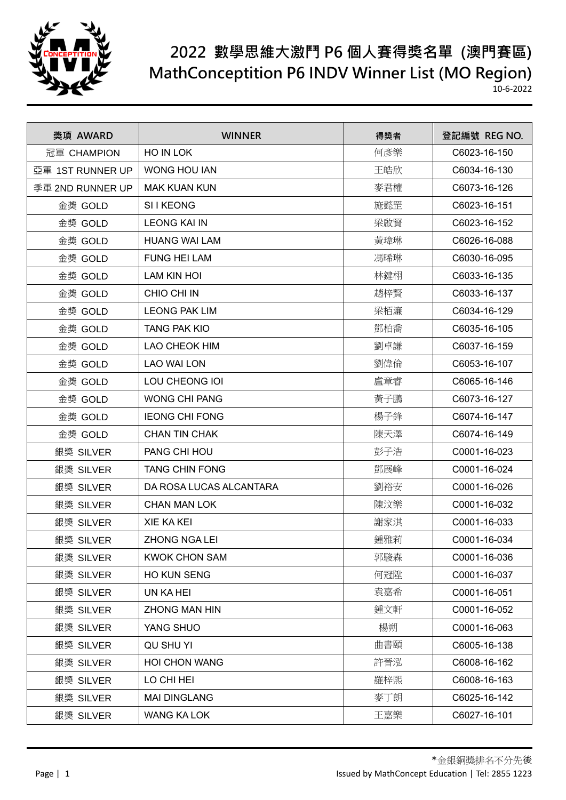

## **2022 數學思維大激鬥 P6 個人賽得獎名單 (澳門賽區) MathConceptition P6 INDV Winner List (MO Region)**

10-6-2022

| 獎項 AWARD         | <b>WINNER</b>           | 得獎者 | 登記編號 REG NO. |
|------------------|-------------------------|-----|--------------|
| 冠軍 CHAMPION      | HO IN LOK               | 何彥樂 | C6023-16-150 |
| 亞軍 1ST RUNNER UP | <b>WONG HOU IAN</b>     | 王皓欣 | C6034-16-130 |
| 季軍 2ND RUNNER UP | <b>MAK KUAN KUN</b>     | 麥君權 | C6073-16-126 |
| 金獎 GOLD          | SI I KEONG              | 施懿罡 | C6023-16-151 |
| 金獎 GOLD          | <b>LEONG KAI IN</b>     | 梁啟賢 | C6023-16-152 |
| 金獎 GOLD          | <b>HUANG WAI LAM</b>    | 黃瑋琳 | C6026-16-088 |
| 金獎 GOLD          | <b>FUNG HEI LAM</b>     | 馮晞琳 | C6030-16-095 |
| 金獎 GOLD          | <b>LAM KIN HOI</b>      | 林鍵栩 | C6033-16-135 |
| 金獎 GOLD          | CHIO CHI IN             | 趙梓賢 | C6033-16-137 |
| 金獎 GOLD          | <b>LEONG PAK LIM</b>    | 梁栢濂 | C6034-16-129 |
| 金獎 GOLD          | <b>TANG PAK KIO</b>     | 鄧柏喬 | C6035-16-105 |
| 金獎 GOLD          | <b>LAO CHEOK HIM</b>    | 劉卓謙 | C6037-16-159 |
| 金獎 GOLD          | <b>LAO WAI LON</b>      | 劉偉倫 | C6053-16-107 |
| 金獎 GOLD          | LOU CHEONG IOI          | 盧章睿 | C6065-16-146 |
| 金獎 GOLD          | <b>WONG CHI PANG</b>    | 黃子鵬 | C6073-16-127 |
| 金獎 GOLD          | <b>IEONG CHI FONG</b>   | 楊子鋒 | C6074-16-147 |
| 金獎 GOLD          | <b>CHAN TIN CHAK</b>    | 陳天澤 | C6074-16-149 |
| 銀獎 SILVER        | PANG CHI HOU            | 彭子浩 | C0001-16-023 |
| 銀獎 SILVER        | <b>TANG CHIN FONG</b>   | 鄧展峰 | C0001-16-024 |
| 銀獎 SILVER        | DA ROSA LUCAS ALCANTARA | 劉裕安 | C0001-16-026 |
| 銀獎 SILVER        | <b>CHAN MAN LOK</b>     | 陳汶樂 | C0001-16-032 |
| 銀獎 SILVER        | <b>XIE KA KEI</b>       | 謝家淇 | C0001-16-033 |
| 銀獎 SILVER        | <b>ZHONG NGA LEI</b>    | 鍾雅莉 | C0001-16-034 |
| 銀獎 SILVER        | <b>KWOK CHON SAM</b>    | 郭駿森 | C0001-16-036 |
| 銀獎 SILVER        | HO KUN SENG             | 何冠陞 | C0001-16-037 |
| 銀獎 SILVER        | UN KA HEI               | 袁嘉希 | C0001-16-051 |
| 銀獎 SILVER        | <b>ZHONG MAN HIN</b>    | 鍾文軒 | C0001-16-052 |
| 銀獎 SILVER        | YANG SHUO               | 楊朔  | C0001-16-063 |
| 銀獎 SILVER        | QU SHU YI               | 曲書頤 | C6005-16-138 |
| 銀獎 SILVER        | <b>HOI CHON WANG</b>    | 許晉泓 | C6008-16-162 |
| 銀獎 SILVER        | LO CHI HEI              | 羅梓熙 | C6008-16-163 |
| 銀獎 SILVER        | <b>MAI DINGLANG</b>     | 麥丁朗 | C6025-16-142 |
| 銀獎 SILVER        | WANG KA LOK             | 王嘉樂 | C6027-16-101 |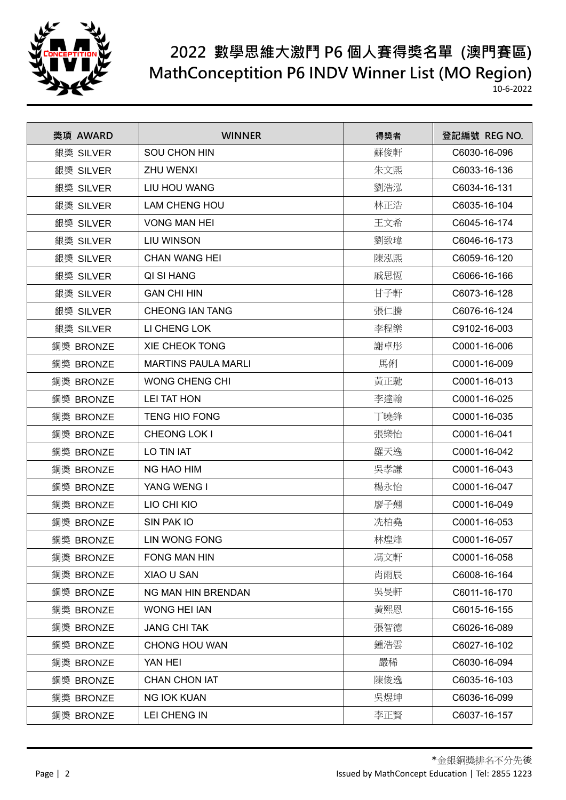

## **2022 數學思維大激鬥 P6 個人賽得獎名單 (澳門賽區) MathConceptition P6 INDV Winner List (MO Region)**

10-6-2022

| 獎項 AWARD  | <b>WINNER</b>              | 得獎者 | 登記編號 REG NO. |
|-----------|----------------------------|-----|--------------|
| 銀獎 SILVER | <b>SOU CHON HIN</b>        | 蘇俊軒 | C6030-16-096 |
| 銀獎 SILVER | <b>ZHU WENXI</b>           | 朱文熙 | C6033-16-136 |
| 銀獎 SILVER | LIU HOU WANG               | 劉浩泓 | C6034-16-131 |
| 銀獎 SILVER | <b>LAM CHENG HOU</b>       | 林正浩 | C6035-16-104 |
| 銀獎 SILVER | <b>VONG MAN HEI</b>        | 王文希 | C6045-16-174 |
| 銀獎 SILVER | <b>LIU WINSON</b>          | 劉致瑋 | C6046-16-173 |
| 銀獎 SILVER | CHAN WANG HEI              | 陳泓熙 | C6059-16-120 |
| 銀獎 SILVER | QI SI HANG                 | 戚思恆 | C6066-16-166 |
| 銀獎 SILVER | <b>GAN CHI HIN</b>         | 甘子軒 | C6073-16-128 |
| 銀獎 SILVER | <b>CHEONG IAN TANG</b>     | 張仁騰 | C6076-16-124 |
| 銀獎 SILVER | LI CHENG LOK               | 李程樂 | C9102-16-003 |
| 銅獎 BRONZE | <b>XIE CHEOK TONG</b>      | 謝卓彤 | C0001-16-006 |
| 銅獎 BRONZE | <b>MARTINS PAULA MARLI</b> | 馬俐  | C0001-16-009 |
| 銅獎 BRONZE | <b>WONG CHENG CHI</b>      | 黃正馳 | C0001-16-013 |
| 銅獎 BRONZE | <b>LEI TAT HON</b>         | 李達翰 | C0001-16-025 |
| 銅獎 BRONZE | <b>TENG HIO FONG</b>       | 丁曉鋒 | C0001-16-035 |
| 銅獎 BRONZE | CHEONG LOK I               | 張樂怡 | C0001-16-041 |
| 銅獎 BRONZE | LO TIN IAT                 | 羅天逸 | C0001-16-042 |
| 銅獎 BRONZE | NG HAO HIM                 | 吳孝謙 | C0001-16-043 |
| 銅獎 BRONZE | YANG WENG I                | 楊永怡 | C0001-16-047 |
| 銅獎 BRONZE | LIO CHI KIO                | 廖子翹 | C0001-16-049 |
| 銅獎 BRONZE | SIN PAK IO                 | 冼柏堯 | C0001-16-053 |
| 銅獎 BRONZE | <b>LIN WONG FONG</b>       | 林煌烽 | C0001-16-057 |
| 銅獎 BRONZE | <b>FONG MAN HIN</b>        | 馮文軒 | C0001-16-058 |
| 銅獎 BRONZE | XIAO U SAN                 | 肖雨辰 | C6008-16-164 |
| 銅獎 BRONZE | NG MAN HIN BRENDAN         | 吳旻軒 | C6011-16-170 |
| 銅獎 BRONZE | <b>WONG HEI IAN</b>        | 黃熙恩 | C6015-16-155 |
| 銅獎 BRONZE | <b>JANG CHI TAK</b>        | 張智德 | C6026-16-089 |
| 銅獎 BRONZE | <b>CHONG HOU WAN</b>       | 鍾浩雲 | C6027-16-102 |
| 銅獎 BRONZE | YAN HEI                    | 嚴稀  | C6030-16-094 |
| 銅獎 BRONZE | <b>CHAN CHON IAT</b>       | 陳俊逸 | C6035-16-103 |
| 銅獎 BRONZE | <b>NG IOK KUAN</b>         | 吳煜坤 | C6036-16-099 |
| 銅獎 BRONZE | LEI CHENG IN               | 李正賢 | C6037-16-157 |